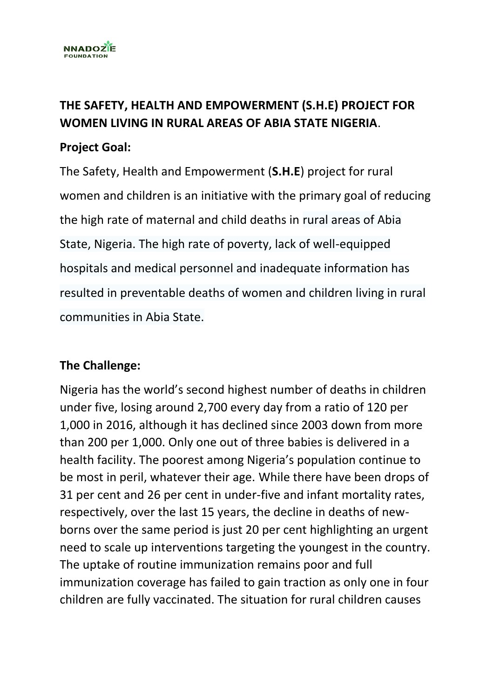

## **THE SAFETY, HEALTH AND EMPOWERMENT (S.H.E) PROJECT FOR WOMEN LIVING IN RURAL AREAS OF ABIA STATE NIGERIA**.

## **Project Goal:**

The Safety, Health and Empowerment (**S.H.E**) project for rural women and children is an initiative with the primary goal of reducing the high rate of maternal and child deaths in rural areas of Abia State, Nigeria. The high rate of poverty, lack of well-equipped hospitals and medical personnel and inadequate information has resulted in preventable deaths of women and children living in rural communities in Abia State.

## **The Challenge:**

Nigeria has the world's second highest number of deaths in children under five, losing around 2,700 every day from a ratio of 120 per 1,000 in 2016, although it has declined since 2003 down from more than 200 per 1,000. Only one out of three babies is delivered in a health facility. The poorest among Nigeria's population continue to be most in peril, whatever their age. While there have been drops of 31 per cent and 26 per cent in under-five and infant mortality rates, respectively, over the last 15 years, the decline in deaths of newborns over the same period is just 20 per cent highlighting an urgent need to scale up interventions targeting the youngest in the country. The uptake of routine immunization remains poor and full immunization coverage has failed to gain traction as only one in four children are fully vaccinated. The situation for rural children causes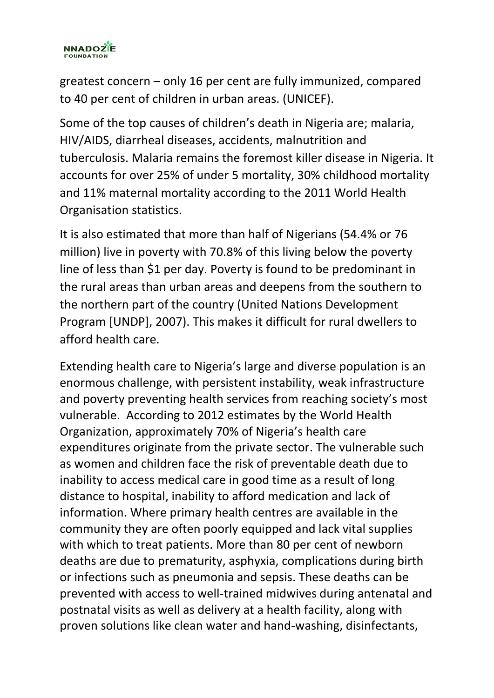

greatest concern – only 16 per cent are fully immunized, compared to 40 per cent of children in urban areas. (UNICEF).

Some of the top causes of children's death in Nigeria are; malaria, HIV/AIDS, diarrheal diseases, accidents, malnutrition and tuberculosis. Malaria remains the foremost killer disease in Nigeria. It accounts for over 25% of under 5 mortality, 30% childhood mortality and 11% maternal mortality according to the 2011 World Health Organisation statistics.

It is also estimated that more than half of Nigerians (54.4% or 76 million) live in poverty with 70.8% of this living below the poverty line of less than \$1 per day. Poverty is found to be predominant in the rural areas than urban areas and deepens from the southern to the northern part of the country (United Nations Development Program [UNDP], 2007). This makes it difficult for rural dwellers to afford health care.

Extending health care to Nigeria's large and diverse population is an enormous challenge, with persistent instability, weak infrastructure and poverty preventing health services from reaching society's most vulnerable. According to 2012 estimates by the World Health Organization, approximately 70% of Nigeria's health care expenditures originate from the private sector. The vulnerable such as women and children face the risk of preventable death due to inability to access medical care in good time as a result of long distance to hospital, inability to afford medication and lack of information. Where primary health centres are available in the community they are often poorly equipped and lack vital supplies with which to treat patients. More than 80 per cent of newborn deaths are due to prematurity, asphyxia, complications during birth or infections such as pneumonia and sepsis. These deaths can be prevented with access to well-trained midwives during antenatal and postnatal visits as well as delivery at a health facility, along with proven solutions like clean water and hand-washing, disinfectants,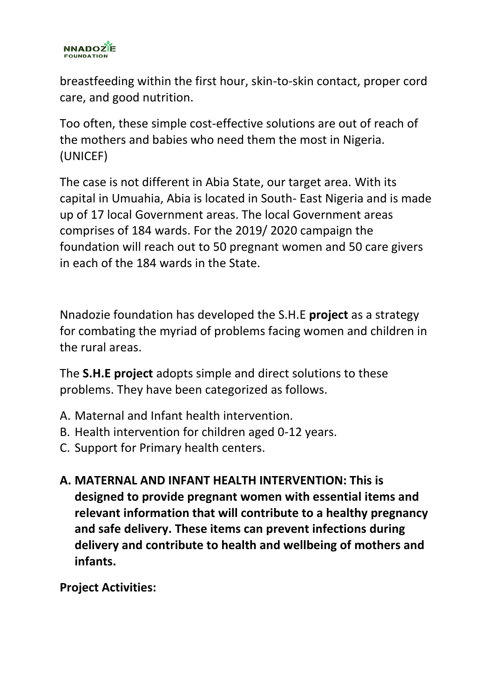

breastfeeding within the first hour, skin-to-skin contact, proper cord care, and good nutrition.

Too often, these simple cost-effective solutions are out of reach of the mothers and babies who need them the most in Nigeria. (UNICEF)

The case is not different in Abia State, our target area. With its capital in Umuahia, Abia is located in South- East Nigeria and is made up of 17 local Government areas. The local Government areas comprises of 184 wards. For the 2019/ 2020 campaign the foundation will reach out to 50 pregnant women and 50 care givers in each of the 184 wards in the State.

Nnadozie foundation has developed the S.H.E **project** as a strategy for combating the myriad of problems facing women and children in the rural areas.

The **S.H.E project** adopts simple and direct solutions to these problems. They have been categorized as follows.

- A. Maternal and Infant health intervention.
- B. Health intervention for children aged 0-12 years.
- C. Support for Primary health centers.
- **A. MATERNAL AND INFANT HEALTH INTERVENTION: This is designed to provide pregnant women with essential items and relevant information that will contribute to a healthy pregnancy and safe delivery. These items can prevent infections during delivery and contribute to health and wellbeing of mothers and infants.**

**Project Activities:**